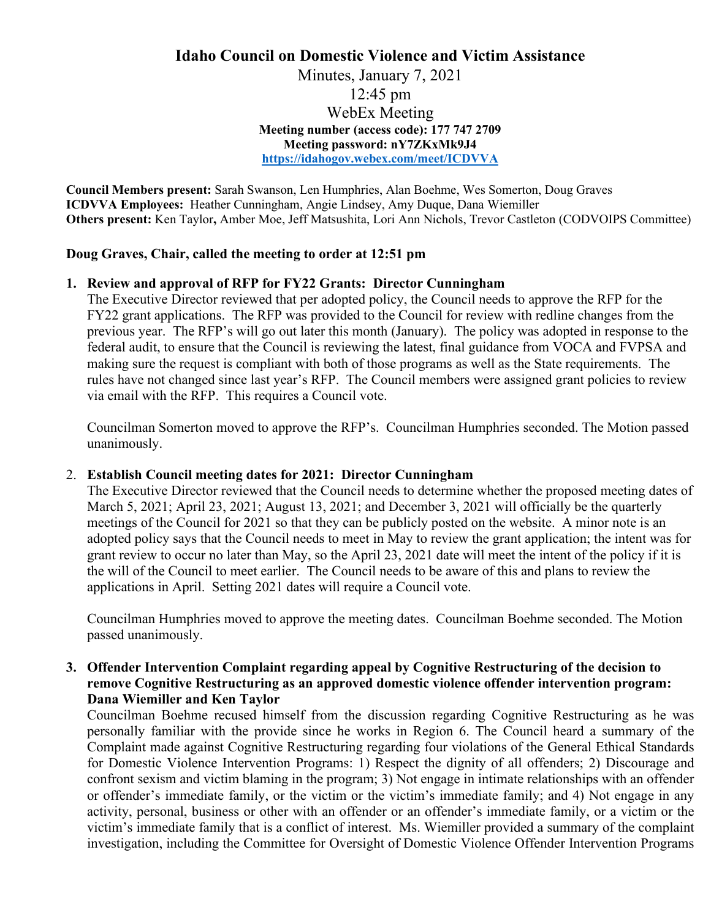# **Idaho Council on Domestic Violence and Victim Assistance**  Minutes, January 7, 2021

12:45 pm WebEx Meeting **Meeting number (access code): 177 747 2709 Meeting password: nY7ZKxMk9J4 <https://idahogov.webex.com/meet/ICDVVA>**

**Council Members present:** Sarah Swanson, Len Humphries, Alan Boehme, Wes Somerton, Doug Graves **ICDVVA Employees:** Heather Cunningham, Angie Lindsey, Amy Duque, Dana Wiemiller **Others present:** Ken Taylor**,** Amber Moe, Jeff Matsushita, Lori Ann Nichols, Trevor Castleton (CODVOIPS Committee)

# **Doug Graves, Chair, called the meeting to order at 12:51 pm**

# **1. Review and approval of RFP for FY22 Grants: Director Cunningham**

The Executive Director reviewed that per adopted policy, the Council needs to approve the RFP for the FY22 grant applications. The RFP was provided to the Council for review with redline changes from the previous year. The RFP's will go out later this month (January). The policy was adopted in response to the federal audit, to ensure that the Council is reviewing the latest, final guidance from VOCA and FVPSA and making sure the request is compliant with both of those programs as well as the State requirements. The rules have not changed since last year's RFP. The Council members were assigned grant policies to review via email with the RFP. This requires a Council vote.

Councilman Somerton moved to approve the RFP's. Councilman Humphries seconded. The Motion passed unanimously.

#### 2. **Establish Council meeting dates for 2021: Director Cunningham**

The Executive Director reviewed that the Council needs to determine whether the proposed meeting dates of March 5, 2021; April 23, 2021; August 13, 2021; and December 3, 2021 will officially be the quarterly meetings of the Council for 2021 so that they can be publicly posted on the website. A minor note is an adopted policy says that the Council needs to meet in May to review the grant application; the intent was for grant review to occur no later than May, so the April 23, 2021 date will meet the intent of the policy if it is the will of the Council to meet earlier. The Council needs to be aware of this and plans to review the applications in April. Setting 2021 dates will require a Council vote.

Councilman Humphries moved to approve the meeting dates. Councilman Boehme seconded. The Motion passed unanimously.

# **3. Offender Intervention Complaint regarding appeal by Cognitive Restructuring of the decision to remove Cognitive Restructuring as an approved domestic violence offender intervention program: Dana Wiemiller and Ken Taylor**

Councilman Boehme recused himself from the discussion regarding Cognitive Restructuring as he was personally familiar with the provide since he works in Region 6. The Council heard a summary of the Complaint made against Cognitive Restructuring regarding four violations of the General Ethical Standards for Domestic Violence Intervention Programs: 1) Respect the dignity of all offenders; 2) Discourage and confront sexism and victim blaming in the program; 3) Not engage in intimate relationships with an offender or offender's immediate family, or the victim or the victim's immediate family; and 4) Not engage in any activity, personal, business or other with an offender or an offender's immediate family, or a victim or the victim's immediate family that is a conflict of interest. Ms. Wiemiller provided a summary of the complaint investigation, including the Committee for Oversight of Domestic Violence Offender Intervention Programs